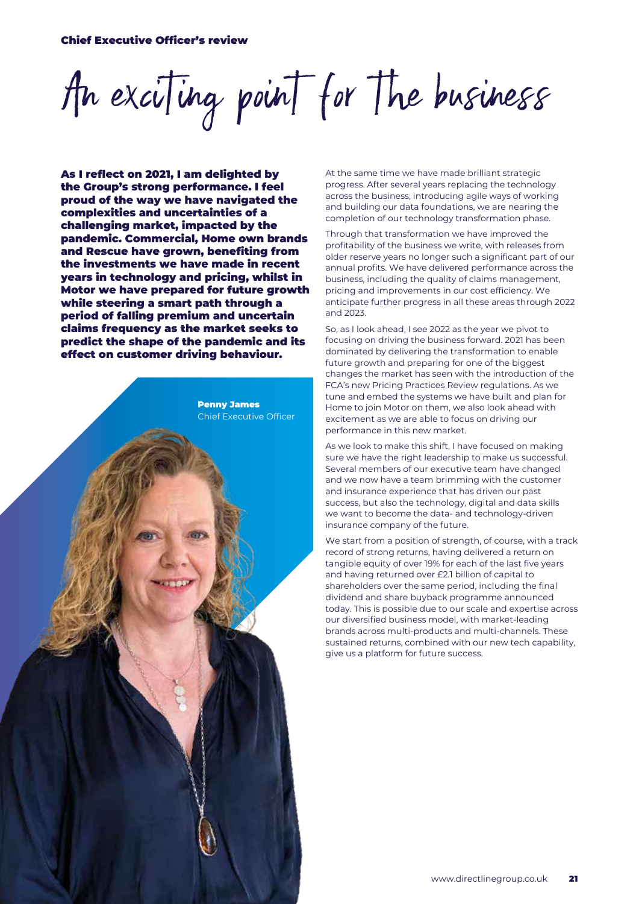An exciting point for the business

As I reflect on 2021, I am delighted by the Group's strong performance. I feel proud of the way we have navigated the complexities and uncertainties of a challenging market, impacted by the pandemic. Commercial, Home own brands and Rescue have grown, benefiting from the investments we have made in recent years in technology and pricing, whilst in Motor we have prepared for future growth while steering a smart path through a period of falling premium and uncertain claims frequency as the market seeks to predict the shape of the pandemic and its effect on customer driving behaviour.

Penny James Chief Executive Officer At the same time we have made brilliant strategic progress. After several years replacing the technology across the business, introducing agile ways of working and building our data foundations, we are nearing the completion of our technology transformation phase.

Through that transformation we have improved the profitability of the business we write, with releases from older reserve years no longer such a significant part of our annual profits. We have delivered performance across the business, including the quality of claims management, pricing and improvements in our cost efficiency. We anticipate further progress in all these areas through 2022 and 2023.

So, as I look ahead, I see 2022 as the year we pivot to focusing on driving the business forward. 2021 has been dominated by delivering the transformation to enable future growth and preparing for one of the biggest changes the market has seen with the introduction of the FCA's new Pricing Practices Review regulations. As we tune and embed the systems we have built and plan for Home to join Motor on them, we also look ahead with excitement as we are able to focus on driving our performance in this new market.

As we look to make this shift, I have focused on making sure we have the right leadership to make us successful. Several members of our executive team have changed and we now have a team brimming with the customer and insurance experience that has driven our past success, but also the technology, digital and data skills we want to become the data- and technology-driven insurance company of the future.

We start from a position of strength, of course, with a track record of strong returns, having delivered a return on tangible equity of over 19% for each of the last five years and having returned over £2.1 billion of capital to shareholders over the same period, including the final dividend and share buyback programme announced today. This is possible due to our scale and expertise across our diversified business model, with market-leading brands across multi-products and multi-channels. These sustained returns, combined with our new tech capability, give us a platform for future success.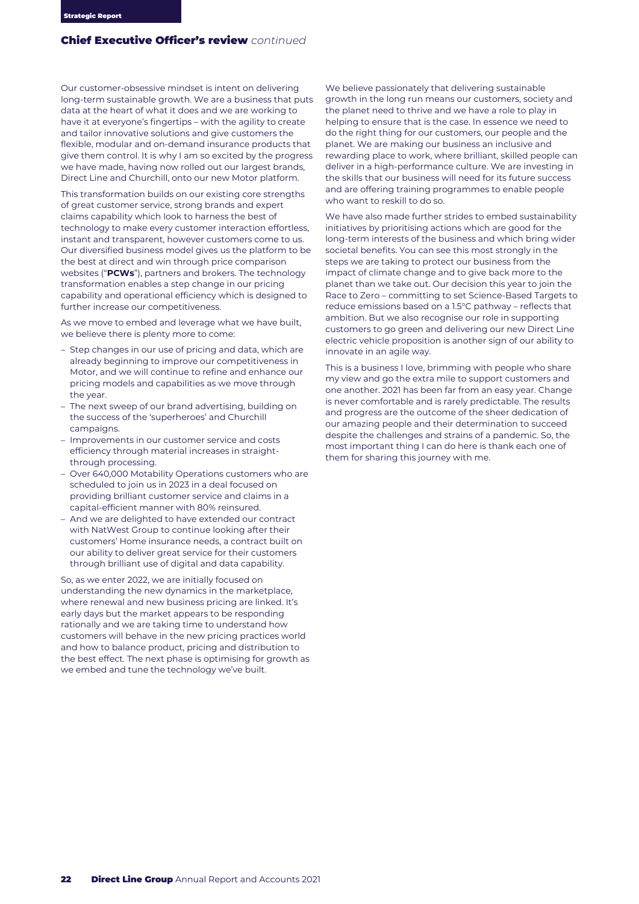Our customer-obsessive mindset is intent on delivering long-term sustainable growth. We are a business that puts data at the heart of what it does and we are working to have it at everyone's fingertips – with the agility to create and tailor innovative solutions and give customers the flexible, modular and on-demand insurance products that give them control. It is why I am so excited by the progress we have made, having now rolled out our largest brands, Direct Line and Churchill, onto our new Motor platform.

This transformation builds on our existing core strengths of great customer service, strong brands and expert claims capability which look to harness the best of technology to make every customer interaction effortless, instant and transparent, however customers come to us. Our diversified business model gives us the platform to be the best at direct and win through price comparison websites ("**PCWs**"), partners and brokers. The technology transformation enables a step change in our pricing capability and operational efficiency which is designed to further increase our competitiveness.

As we move to embed and leverage what we have built, we believe there is plenty more to come:

- Step changes in our use of pricing and data, which are already beginning to improve our competitiveness in Motor, and we will continue to refine and enhance our pricing models and capabilities as we move through the year.
- The next sweep of our brand advertising, building on the success of the 'superheroes' and Churchill campaigns.
- Improvements in our customer service and costs efficiency through material increases in straightthrough processing.
- Over 640,000 Motability Operations customers who are scheduled to join us in 2023 in a deal focused on providing brilliant customer service and claims in a capital-efficient manner with 80% reinsured.
- And we are delighted to have extended our contract with NatWest Group to continue looking after their customers' Home insurance needs, a contract built on our ability to deliver great service for their customers through brilliant use of digital and data capability.

So, as we enter 2022, we are initially focused on understanding the new dynamics in the marketplace, where renewal and new business pricing are linked. It's early days but the market appears to be responding rationally and we are taking time to understand how customers will behave in the new pricing practices world and how to balance product, pricing and distribution to the best effect. The next phase is optimising for growth as we embed and tune the technology we've built.

We believe passionately that delivering sustainable growth in the long run means our customers, society and the planet need to thrive and we have a role to play in helping to ensure that is the case. In essence we need to do the right thing for our customers, our people and the planet. We are making our business an inclusive and rewarding place to work, where brilliant, skilled people can deliver in a high-performance culture. We are investing in the skills that our business will need for its future success and are offering training programmes to enable people who want to reskill to do so.

We have also made further strides to embed sustainability initiatives by prioritising actions which are good for the long-term interests of the business and which bring wider societal benefits. You can see this most strongly in the steps we are taking to protect our business from the impact of climate change and to give back more to the planet than we take out. Our decision this year to join the Race to Zero – committing to set Science-Based Targets to reduce emissions based on a 1.5°C pathway – reflects that ambition. But we also recognise our role in supporting customers to go green and delivering our new Direct Line electric vehicle proposition is another sign of our ability to innovate in an agile way.

This is a business I love, brimming with people who share my view and go the extra mile to support customers and one another. 2021 has been far from an easy year. Change is never comfortable and is rarely predictable. The results and progress are the outcome of the sheer dedication of our amazing people and their determination to succeed despite the challenges and strains of a pandemic. So, the most important thing I can do here is thank each one of them for sharing this journey with me.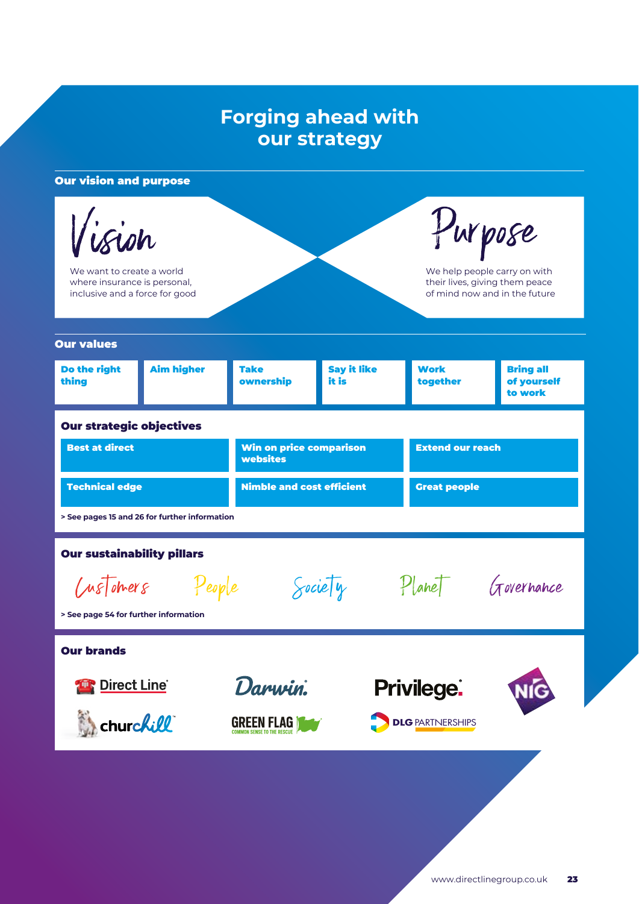# **Forging ahead with our strategy**

# Our vision and purpose

 $\mathbf{h}$ 

We want to create a world where insurance is personal, inclusive and a force for good

Purpose

We help people carry on with their lives, giving them peace of mind now and in the future

| <b>Our values</b>                             |                   |                                            |                             |                         |                                            |  |
|-----------------------------------------------|-------------------|--------------------------------------------|-----------------------------|-------------------------|--------------------------------------------|--|
| Do the right<br>thing                         | <b>Aim higher</b> | <b>Take</b><br>ownership                   | <b>Say it like</b><br>it is | <b>Work</b><br>together | <b>Bring all</b><br>of yourself<br>to work |  |
| <b>Our strategic objectives</b>               |                   |                                            |                             |                         |                                            |  |
| <b>Best at direct</b>                         |                   | <b>Win on price comparison</b><br>websites |                             | <b>Extend our reach</b> |                                            |  |
| <b>Technical edge</b>                         |                   | <b>Nimble and cost efficient</b>           |                             | <b>Great people</b>     |                                            |  |
| > See pages 15 and 26 for further information |                   |                                            |                             |                         |                                            |  |
| <b>Our sustainability pillars</b>             |                   |                                            |                             |                         |                                            |  |
| <i>(MSTotners People</i>                      |                   |                                            | $\sqrt{\text{weight}}$      |                         | Planet Governance                          |  |
| > See page 54 for further information         |                   |                                            |                             |                         |                                            |  |
| <b>Our brands</b>                             |                   |                                            |                             |                         |                                            |  |





**GREEN FLAG TOW** 



**DLG** PARTNERSHIPS

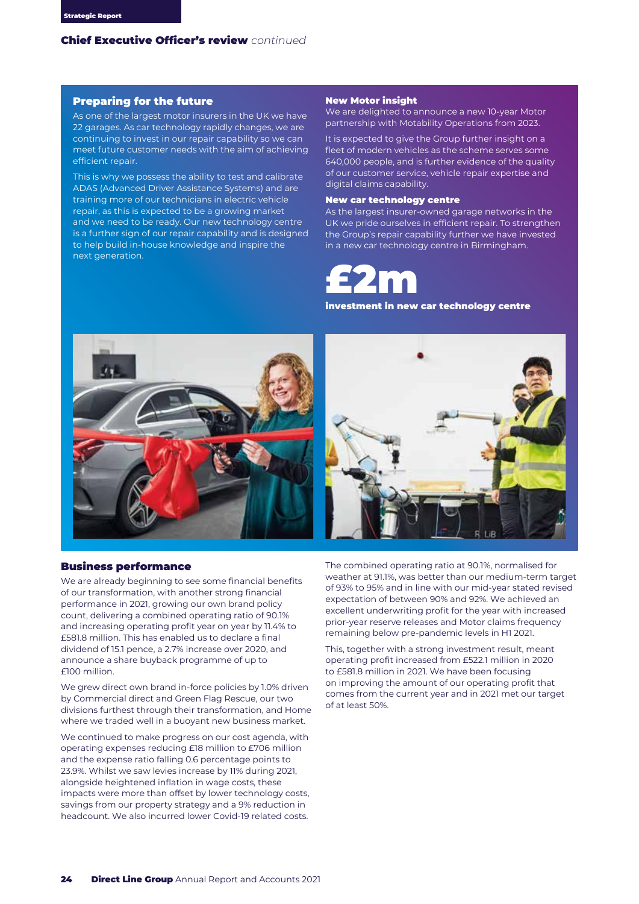### Preparing for the future

As one of the largest motor insurers in the UK we have 22 garages. As car technology rapidly changes, we are continuing to invest in our repair capability so we can meet future customer needs with the aim of achieving efficient repair.

This is why we possess the ability to test and calibrate ADAS (Advanced Driver Assistance Systems) and are training more of our technicians in electric vehicle repair, as this is expected to be a growing market and we need to be ready. Our new technology centre is a further sign of our repair capability and is designed to help build in-house knowledge and inspire the next generation.

### New Motor insight

We are delighted to announce a new 10-year Motor partnership with Motability Operations from 2023.

It is expected to give the Group further insight on a fleet of modern vehicles as the scheme serves some 640,000 people, and is further evidence of the quality of our customer service, vehicle repair expertise and digital claims capability.

#### New car technology centre

As the largest insurer-owned garage networks in the UK we pride ourselves in efficient repair. To strengthen the Group's repair capability further we have invested in a new car technology centre in Birmingham.



investment in new car technology centre



### Business performance

We are already beginning to see some financial benefits of our transformation, with another strong financial performance in 2021, growing our own brand policy count, delivering a combined operating ratio of 90.1% and increasing operating profit year on year by 11.4% to £581.8 million. This has enabled us to declare a final dividend of 15.1 pence, a 2.7% increase over 2020, and announce a share buyback programme of up to £100 million.

We grew direct own brand in-force policies by 1.0% driven by Commercial direct and Green Flag Rescue, our two divisions furthest through their transformation, and Home where we traded well in a buoyant new business market.

We continued to make progress on our cost agenda, with operating expenses reducing £18 million to £706 million and the expense ratio falling 0.6 percentage points to 23.9%. Whilst we saw levies increase by 11% during 2021, alongside heightened inflation in wage costs, these impacts were more than offset by lower technology costs, savings from our property strategy and a 9% reduction in headcount. We also incurred lower Covid-19 related costs.



The combined operating ratio at 90.1%, normalised for weather at 91.1%, was better than our medium-term target of 93% to 95% and in line with our mid-year stated revised expectation of between 90% and 92%. We achieved an excellent underwriting profit for the year with increased prior-year reserve releases and Motor claims frequency remaining below pre-pandemic levels in H1 2021.

This, together with a strong investment result, meant operating profit increased from £522.1 million in 2020 to £581.8 million in 2021. We have been focusing on improving the amount of our operating profit that comes from the current year and in 2021 met our target of at least 50%.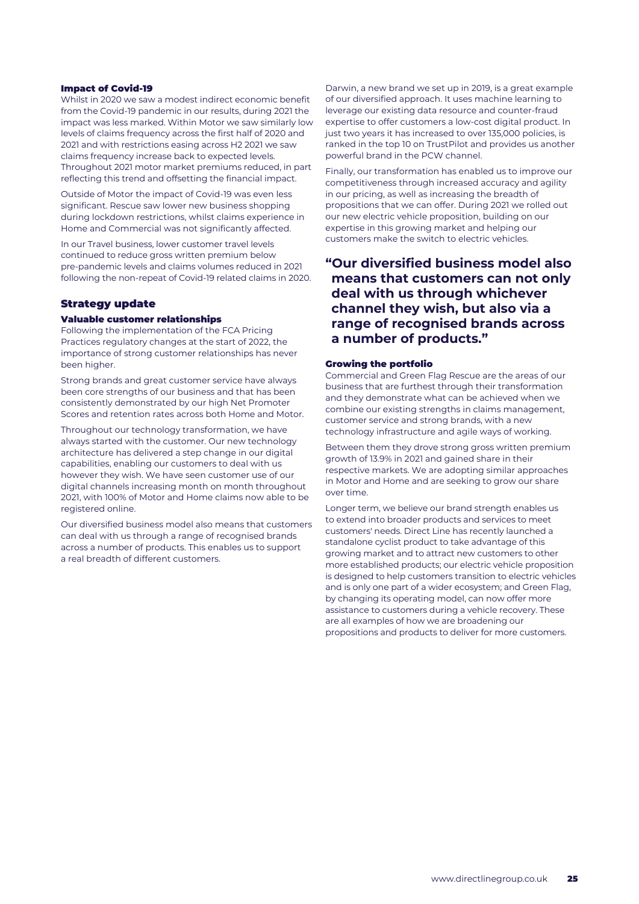### Impact of Covid-19

Whilst in 2020 we saw a modest indirect economic benefit from the Covid-19 pandemic in our results, during 2021 the impact was less marked. Within Motor we saw similarly low levels of claims frequency across the first half of 2020 and 2021 and with restrictions easing across H2 2021 we saw claims frequency increase back to expected levels. Throughout 2021 motor market premiums reduced, in part reflecting this trend and offsetting the financial impact.

Outside of Motor the impact of Covid-19 was even less significant. Rescue saw lower new business shopping during lockdown restrictions, whilst claims experience in Home and Commercial was not significantly affected.

In our Travel business, lower customer travel levels continued to reduce gross written premium below pre-pandemic levels and claims volumes reduced in 2021 following the non-repeat of Covid-19 related claims in 2020.

### Strategy update

#### Valuable customer relationships

Following the implementation of the FCA Pricing Practices regulatory changes at the start of 2022, the importance of strong customer relationships has never been higher.

Strong brands and great customer service have always been core strengths of our business and that has been consistently demonstrated by our high Net Promoter Scores and retention rates across both Home and Motor.

Throughout our technology transformation, we have always started with the customer. Our new technology architecture has delivered a step change in our digital capabilities, enabling our customers to deal with us however they wish. We have seen customer use of our digital channels increasing month on month throughout 2021, with 100% of Motor and Home claims now able to be registered online.

Our diversified business model also means that customers can deal with us through a range of recognised brands across a number of products. This enables us to support a real breadth of different customers.

Darwin, a new brand we set up in 2019, is a great example of our diversified approach. It uses machine learning to leverage our existing data resource and counter-fraud expertise to offer customers a low-cost digital product. In just two years it has increased to over 135,000 policies, is ranked in the top 10 on TrustPilot and provides us another powerful brand in the PCW channel.

Finally, our transformation has enabled us to improve our competitiveness through increased accuracy and agility in our pricing, as well as increasing the breadth of propositions that we can offer. During 2021 we rolled out our new electric vehicle proposition, building on our expertise in this growing market and helping our customers make the switch to electric vehicles.

**"Our diversified business model also means that customers can not only deal with us through whichever channel they wish, but also via a range of recognised brands across a number of products."**

### Growing the portfolio

Commercial and Green Flag Rescue are the areas of our business that are furthest through their transformation and they demonstrate what can be achieved when we combine our existing strengths in claims management, customer service and strong brands, with a new technology infrastructure and agile ways of working.

Between them they drove strong gross written premium growth of 13.9% in 2021 and gained share in their respective markets. We are adopting similar approaches in Motor and Home and are seeking to grow our share over time.

Longer term, we believe our brand strength enables us to extend into broader products and services to meet customers' needs. Direct Line has recently launched a standalone cyclist product to take advantage of this growing market and to attract new customers to other more established products; our electric vehicle proposition is designed to help customers transition to electric vehicles and is only one part of a wider ecosystem; and Green Flag, by changing its operating model, can now offer more assistance to customers during a vehicle recovery. These are all examples of how we are broadening our propositions and products to deliver for more customers.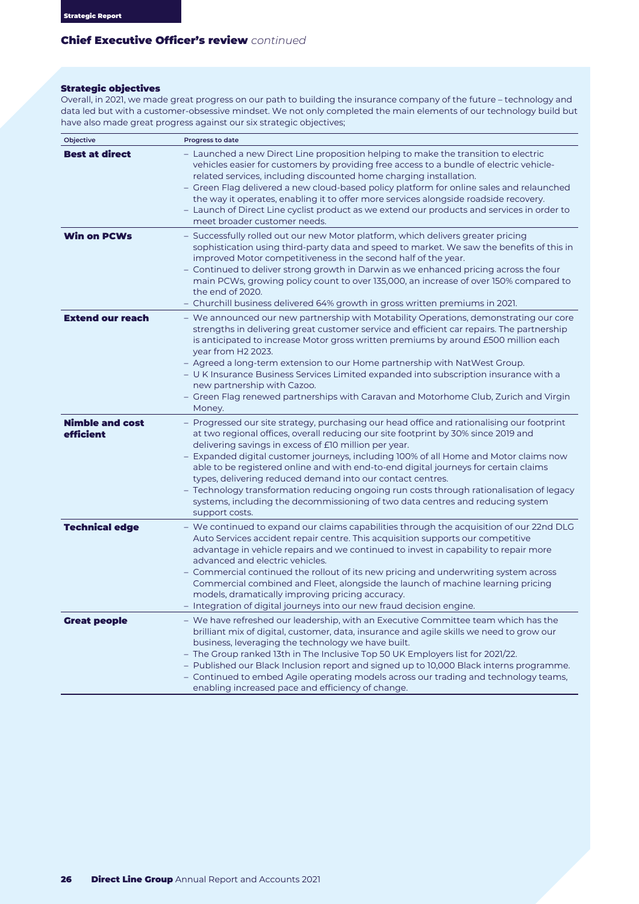# Strategic objectives

Overall, in 2021, we made great progress on our path to building the insurance company of the future – technology and data led but with a customer-obsessive mindset. We not only completed the main elements of our technology build but have also made great progress against our six strategic objectives;

| Objective                           | Progress to date                                                                                                                                                                                                                                                                                                                                                                                                                                                                                                                                                                                                                                                                         |
|-------------------------------------|------------------------------------------------------------------------------------------------------------------------------------------------------------------------------------------------------------------------------------------------------------------------------------------------------------------------------------------------------------------------------------------------------------------------------------------------------------------------------------------------------------------------------------------------------------------------------------------------------------------------------------------------------------------------------------------|
| <b>Best at direct</b>               | - Launched a new Direct Line proposition helping to make the transition to electric<br>vehicles easier for customers by providing free access to a bundle of electric vehicle-<br>related services, including discounted home charging installation.<br>– Green Flag delivered a new cloud-based policy platform for online sales and relaunched<br>the way it operates, enabling it to offer more services alongside roadside recovery.<br>– Launch of Direct Line cyclist product as we extend our products and services in order to<br>meet broader customer needs.                                                                                                                   |
| <b>Win on PCWs</b>                  | - Successfully rolled out our new Motor platform, which delivers greater pricing<br>sophistication using third-party data and speed to market. We saw the benefits of this in<br>improved Motor competitiveness in the second half of the year.<br>- Continued to deliver strong growth in Darwin as we enhanced pricing across the four<br>main PCWs, growing policy count to over 135,000, an increase of over 150% compared to<br>the end of 2020.<br>- Churchill business delivered 64% growth in gross written premiums in 2021.                                                                                                                                                    |
| <b>Extend our reach</b>             | - We announced our new partnership with Motability Operations, demonstrating our core<br>strengths in delivering great customer service and efficient car repairs. The partnership<br>is anticipated to increase Motor gross written premiums by around £500 million each<br>year from H2 2023.<br>- Agreed a long-term extension to our Home partnership with NatWest Group.<br>– U K Insurance Business Services Limited expanded into subscription insurance with a<br>new partnership with Cazoo.<br>– Green Flag renewed partnerships with Caravan and Motorhome Club, Zurich and Virgin<br>Money.                                                                                  |
| <b>Nimble and cost</b><br>efficient | - Progressed our site strategy, purchasing our head office and rationalising our footprint<br>at two regional offices, overall reducing our site footprint by 30% since 2019 and<br>delivering savings in excess of £10 million per year.<br>– Expanded digital customer journeys, including 100% of all Home and Motor claims now<br>able to be registered online and with end-to-end digital journeys for certain claims<br>types, delivering reduced demand into our contact centres.<br>– Technology transformation reducing ongoing run costs through rationalisation of legacy<br>systems, including the decommissioning of two data centres and reducing system<br>support costs. |
| <b>Technical edge</b>               | – We continued to expand our claims capabilities through the acquisition of our 22nd DLG<br>Auto Services accident repair centre. This acquisition supports our competitive<br>advantage in vehicle repairs and we continued to invest in capability to repair more<br>advanced and electric vehicles.<br>- Commercial continued the rollout of its new pricing and underwriting system across<br>Commercial combined and Fleet, alongside the launch of machine learning pricing<br>models, dramatically improving pricing accuracy.<br>– Integration of digital journeys into our new fraud decision engine.                                                                           |
| <b>Great people</b>                 | - We have refreshed our leadership, with an Executive Committee team which has the<br>brilliant mix of digital, customer, data, insurance and agile skills we need to grow our<br>business, leveraging the technology we have built.<br>- The Group ranked 13th in The Inclusive Top 50 UK Employers list for 2021/22.<br>- Published our Black Inclusion report and signed up to 10,000 Black interns programme.<br>- Continued to embed Agile operating models across our trading and technology teams,<br>enabling increased pace and efficiency of change.                                                                                                                           |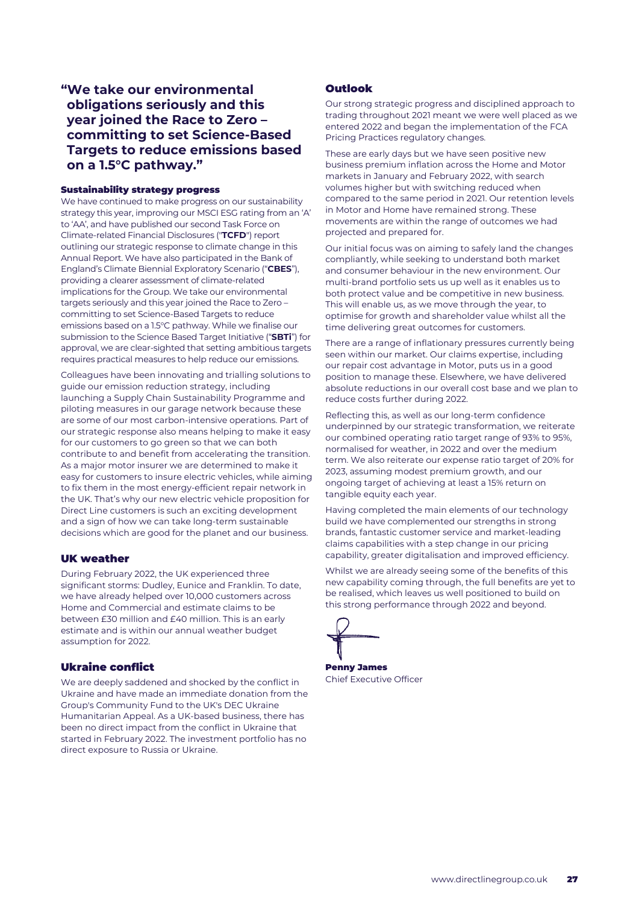# **"We take our environmental obligations seriously and this year joined the Race to Zero – committing to set Science-Based Targets to reduce emissions based on a 1.5°C pathway."**

### Sustainability strategy progress

We have continued to make progress on our sustainability strategy this year, improving our MSCI ESG rating from an 'A' to 'AA', and have published our second Task Force on Climate-related Financial Disclosures ("**TCFD**") report outlining our strategic response to climate change in this Annual Report. We have also participated in the Bank of England's Climate Biennial Exploratory Scenario ("**CBES**"), providing a clearer assessment of climate-related implications for the Group. We take our environmental targets seriously and this year joined the Race to Zero – committing to set Science-Based Targets to reduce emissions based on a 1.5°C pathway. While we finalise our submission to the Science Based Target Initiative ("**SBTi**") for approval, we are clear-sighted that setting ambitious targets requires practical measures to help reduce our emissions.

Colleagues have been innovating and trialling solutions to guide our emission reduction strategy, including launching a Supply Chain Sustainability Programme and piloting measures in our garage network because these are some of our most carbon-intensive operations. Part of our strategic response also means helping to make it easy for our customers to go green so that we can both contribute to and benefit from accelerating the transition. As a major motor insurer we are determined to make it easy for customers to insure electric vehicles, while aiming to fix them in the most energy-efficient repair network in the UK. That's why our new electric vehicle proposition for Direct Line customers is such an exciting development and a sign of how we can take long-term sustainable decisions which are good for the planet and our business.

# UK weather

During February 2022, the UK experienced three significant storms: Dudley, Eunice and Franklin. To date, we have already helped over 10,000 customers across Home and Commercial and estimate claims to be between £30 million and £40 million. This is an early estimate and is within our annual weather budget assumption for 2022.

# Ukraine conflict

We are deeply saddened and shocked by the conflict in Ukraine and have made an immediate donation from the Group's Community Fund to the UK's DEC Ukraine Humanitarian Appeal. As a UK-based business, there has been no direct impact from the conflict in Ukraine that started in February 2022. The investment portfolio has no direct exposure to Russia or Ukraine.

# Outlook

Our strong strategic progress and disciplined approach to trading throughout 2021 meant we were well placed as we entered 2022 and began the implementation of the FCA Pricing Practices regulatory changes.

These are early days but we have seen positive new business premium inflation across the Home and Motor markets in January and February 2022, with search volumes higher but with switching reduced when compared to the same period in 2021. Our retention levels in Motor and Home have remained strong. These movements are within the range of outcomes we had projected and prepared for.

Our initial focus was on aiming to safely land the changes compliantly, while seeking to understand both market and consumer behaviour in the new environment. Our multi-brand portfolio sets us up well as it enables us to both protect value and be competitive in new business. This will enable us, as we move through the year, to optimise for growth and shareholder value whilst all the time delivering great outcomes for customers.

There are a range of inflationary pressures currently being seen within our market. Our claims expertise, including our repair cost advantage in Motor, puts us in a good position to manage these. Elsewhere, we have delivered absolute reductions in our overall cost base and we plan to reduce costs further during 2022.

Reflecting this, as well as our long-term confidence underpinned by our strategic transformation, we reiterate our combined operating ratio target range of 93% to 95%, normalised for weather, in 2022 and over the medium term. We also reiterate our expense ratio target of 20% for 2023, assuming modest premium growth, and our ongoing target of achieving at least a 15% return on tangible equity each year.

Having completed the main elements of our technology build we have complemented our strengths in strong brands, fantastic customer service and market-leading claims capabilities with a step change in our pricing capability, greater digitalisation and improved efficiency.

Whilst we are already seeing some of the benefits of this new capability coming through, the full benefits are yet to be realised, which leaves us well positioned to build on this strong performance through 2022 and beyond.



Penny James Chief Executive Officer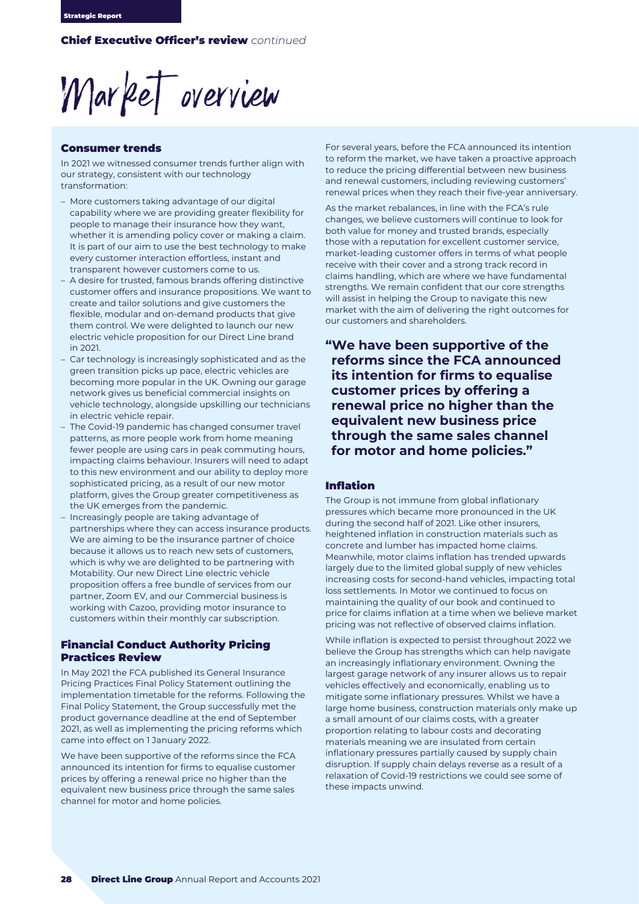Market overview

### Consumer trends

In 2021 we witnessed consumer trends further align with our strategy, consistent with our technology transformation:

- More customers taking advantage of our digital capability where we are providing greater flexibility for people to manage their insurance how they want, whether it is amending policy cover or making a claim. It is part of our aim to use the best technology to make every customer interaction effortless, instant and transparent however customers come to us.
- A desire for trusted, famous brands offering distinctive customer offers and insurance propositions. We want to create and tailor solutions and give customers the flexible, modular and on-demand products that give them control. We were delighted to launch our new electric vehicle proposition for our Direct Line brand in 2021.
- Car technology is increasingly sophisticated and as the green transition picks up pace, electric vehicles are becoming more popular in the UK. Owning our garage network gives us beneficial commercial insights on vehicle technology, alongside upskilling our technicians in electric vehicle repair.
- The Covid-19 pandemic has changed consumer travel patterns, as more people work from home meaning fewer people are using cars in peak commuting hours, impacting claims behaviour. Insurers will need to adapt to this new environment and our ability to deploy more sophisticated pricing, as a result of our new motor platform, gives the Group greater competitiveness as the UK emerges from the pandemic.
- Increasingly people are taking advantage of partnerships where they can access insurance products. We are aiming to be the insurance partner of choice because it allows us to reach new sets of customers, which is why we are delighted to be partnering with Motability. Our new Direct Line electric vehicle proposition offers a free bundle of services from our partner, Zoom EV, and our Commercial business is working with Cazoo, providing motor insurance to customers within their monthly car subscription.

# Financial Conduct Authority Pricing Practices Review

In May 2021 the FCA published its General Insurance Pricing Practices Final Policy Statement outlining the implementation timetable for the reforms. Following the Final Policy Statement, the Group successfully met the product governance deadline at the end of September 2021, as well as implementing the pricing reforms which came into effect on 1 January 2022.

We have been supportive of the reforms since the FCA announced its intention for firms to equalise customer prices by offering a renewal price no higher than the equivalent new business price through the same sales channel for motor and home policies.

For several years, before the FCA announced its intention to reform the market, we have taken a proactive approach to reduce the pricing differential between new business and renewal customers, including reviewing customers' renewal prices when they reach their five-year anniversary.

As the market rebalances, in line with the FCA's rule changes, we believe customers will continue to look for both value for money and trusted brands, especially those with a reputation for excellent customer service, market-leading customer offers in terms of what people receive with their cover and a strong track record in claims handling, which are where we have fundamental strengths. We remain confident that our core strengths will assist in helping the Group to navigate this new market with the aim of delivering the right outcomes for our customers and shareholders.

**"We have been supportive of the reforms since the FCA announced its intention for firms to equalise customer prices by offering a renewal price no higher than the equivalent new business price through the same sales channel for motor and home policies."**

### Inflation

The Group is not immune from global inflationary pressures which became more pronounced in the UK during the second half of 2021. Like other insurers, heightened inflation in construction materials such as concrete and lumber has impacted home claims. Meanwhile, motor claims inflation has trended upwards largely due to the limited global supply of new vehicles increasing costs for second-hand vehicles, impacting total loss settlements. In Motor we continued to focus on maintaining the quality of our book and continued to price for claims inflation at a time when we believe market pricing was not reflective of observed claims inflation.

While inflation is expected to persist throughout 2022 we believe the Group has strengths which can help navigate an increasingly inflationary environment. Owning the largest garage network of any insurer allows us to repair vehicles effectively and economically, enabling us to mitigate some inflationary pressures. Whilst we have a large home business, construction materials only make up a small amount of our claims costs, with a greater proportion relating to labour costs and decorating materials meaning we are insulated from certain inflationary pressures partially caused by supply chain disruption. If supply chain delays reverse as a result of a relaxation of Covid-19 restrictions we could see some of these impacts unwind.